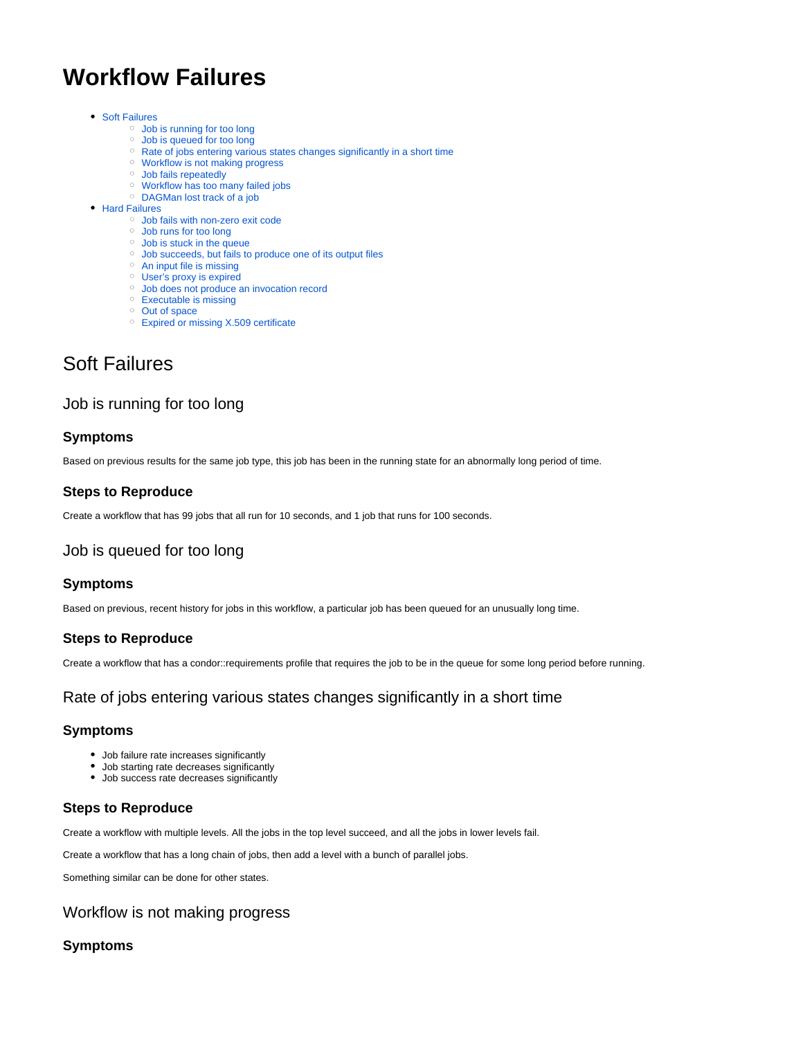# **Workflow Failures**

- [Soft Failures](#page-0-0)
	- [Job is running for too long](#page-0-1)
	- [Job is queued for too long](#page-0-2)
	- <sup>o</sup> [Rate of jobs entering various states changes significantly in a short time](#page-0-3)
	- [Workflow is not making progress](#page-0-4)
	- <sup>o</sup> [Job fails repeatedly](#page-1-0)
	- [Workflow has too many failed jobs](#page-1-1) [DAGMan lost track of a job](#page-1-2)
- [Hard Failures](#page-1-3)
	- [Job fails with non-zero exit code](#page-1-4)
	- [Job runs for too long](#page-1-5)
	- [Job is stuck in the queue](#page-2-0)
	- [Job succeeds, but fails to produce one of its output files](#page-2-1)
	- <sup>o</sup> [An input file is missing](#page-2-2)
	- [User's proxy is expired](#page-2-3)
	- [Job does not produce an invocation record](#page-2-4)
	- [Executable is missing](#page-2-5)
	- <sup>o</sup> [Out of space](#page-3-0)
	- <sup>o</sup> [Expired or missing X.509 certificate](#page-3-1)

# <span id="page-0-0"></span>Soft Failures

# <span id="page-0-1"></span>Job is running for too long

# **Symptoms**

Based on previous results for the same job type, this job has been in the running state for an abnormally long period of time.

# **Steps to Reproduce**

Create a workflow that has 99 jobs that all run for 10 seconds, and 1 job that runs for 100 seconds.

# <span id="page-0-2"></span>Job is queued for too long

#### **Symptoms**

Based on previous, recent history for jobs in this workflow, a particular job has been queued for an unusually long time.

# **Steps to Reproduce**

Create a workflow that has a condor::requirements profile that requires the job to be in the queue for some long period before running.

# <span id="page-0-3"></span>Rate of jobs entering various states changes significantly in a short time

#### **Symptoms**

- Job failure rate increases significantly
- Job starting rate decreases significantly
- Job success rate decreases significantly

# **Steps to Reproduce**

Create a workflow with multiple levels. All the jobs in the top level succeed, and all the jobs in lower levels fail.

Create a workflow that has a long chain of jobs, then add a level with a bunch of parallel jobs.

Something similar can be done for other states.

# <span id="page-0-4"></span>Workflow is not making progress

#### **Symptoms**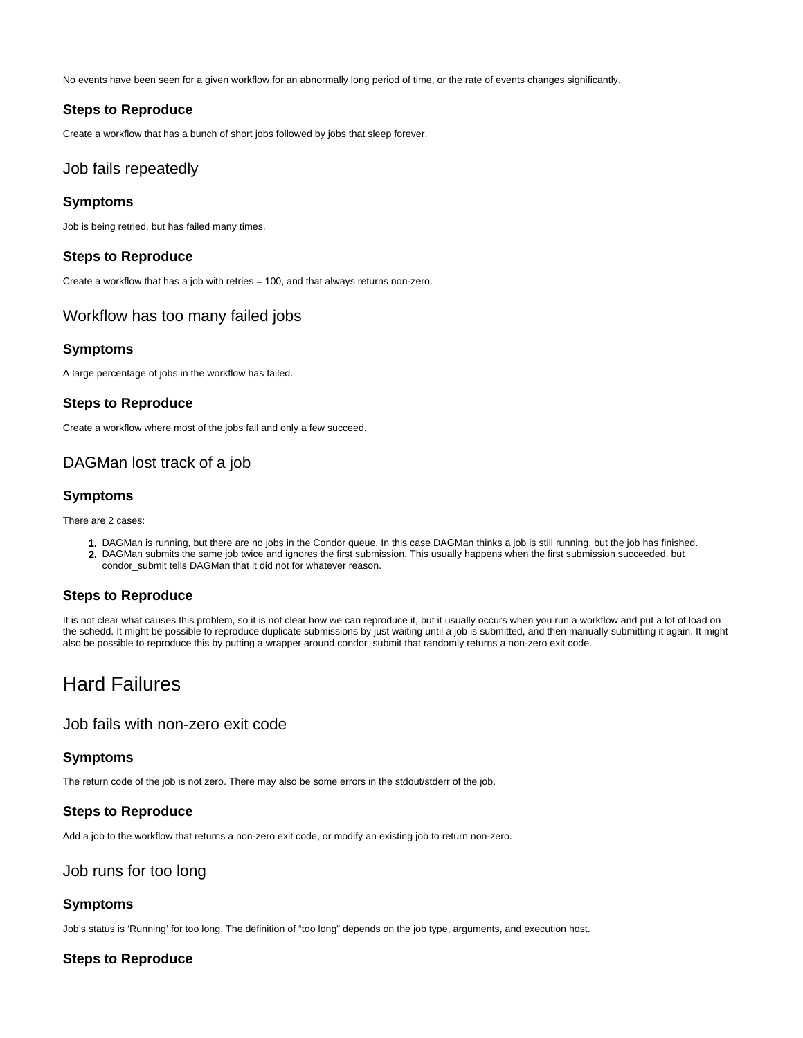No events have been seen for a given workflow for an abnormally long period of time, or the rate of events changes significantly.

#### **Steps to Reproduce**

Create a workflow that has a bunch of short jobs followed by jobs that sleep forever.

#### <span id="page-1-0"></span>Job fails repeatedly

#### **Symptoms**

Job is being retried, but has failed many times.

#### **Steps to Reproduce**

Create a workflow that has a job with retries = 100, and that always returns non-zero.

# <span id="page-1-1"></span>Workflow has too many failed jobs

#### **Symptoms**

A large percentage of jobs in the workflow has failed.

#### **Steps to Reproduce**

Create a workflow where most of the jobs fail and only a few succeed.

# <span id="page-1-2"></span>DAGMan lost track of a job

#### **Symptoms**

There are 2 cases:

1. DAGMan is running, but there are no jobs in the Condor queue. In this case DAGMan thinks a job is still running, but the job has finished. 2. DAGMan submits the same job twice and ignores the first submission. This usually happens when the first submission succeeded, but condor\_submit tells DAGMan that it did not for whatever reason.

# **Steps to Reproduce**

It is not clear what causes this problem, so it is not clear how we can reproduce it, but it usually occurs when you run a workflow and put a lot of load on the schedd. It might be possible to reproduce duplicate submissions by just waiting until a job is submitted, and then manually submitting it again. It might also be possible to reproduce this by putting a wrapper around condor\_submit that randomly returns a non-zero exit code.

# <span id="page-1-3"></span>Hard Failures

#### <span id="page-1-4"></span>Job fails with non-zero exit code

#### **Symptoms**

The return code of the job is not zero. There may also be some errors in the stdout/stderr of the job.

#### **Steps to Reproduce**

Add a job to the workflow that returns a non-zero exit code, or modify an existing job to return non-zero.

### <span id="page-1-5"></span>Job runs for too long

#### **Symptoms**

Job's status is 'Running' for too long. The definition of "too long" depends on the job type, arguments, and execution host.

#### **Steps to Reproduce**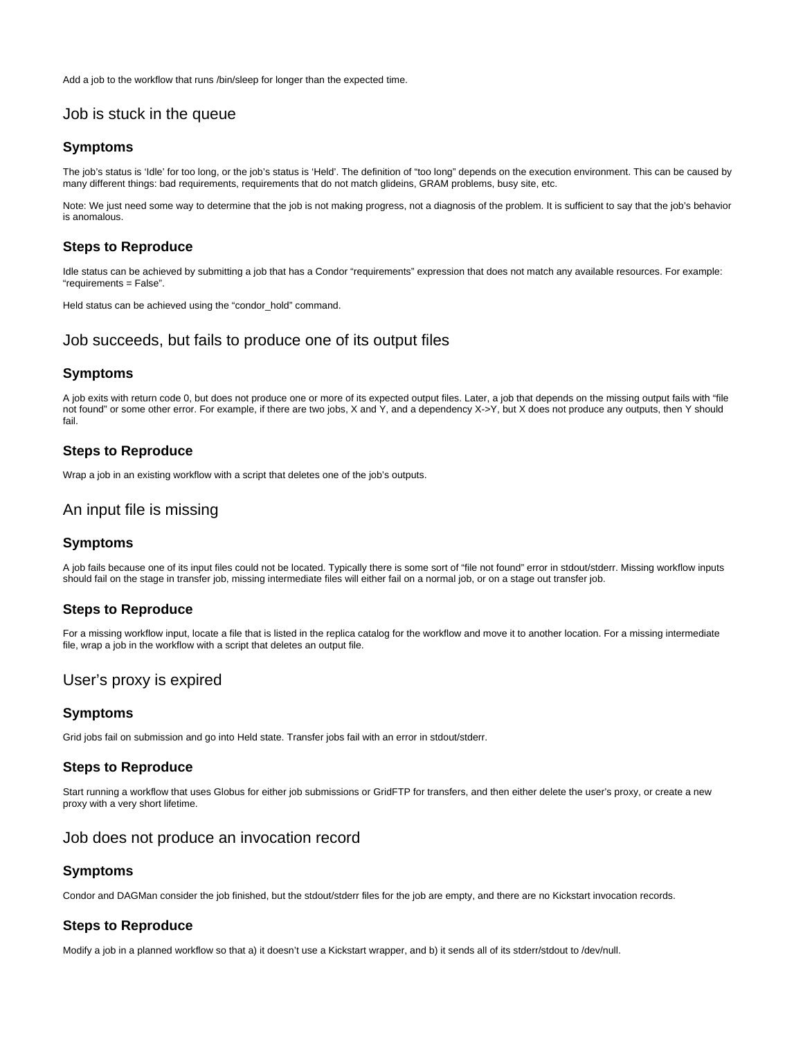Add a job to the workflow that runs /bin/sleep for longer than the expected time.

# <span id="page-2-0"></span>Job is stuck in the queue

#### **Symptoms**

The job's status is 'Idle' for too long, or the job's status is 'Held'. The definition of "too long" depends on the execution environment. This can be caused by many different things: bad requirements, requirements that do not match glideins, GRAM problems, busy site, etc.

Note: We just need some way to determine that the job is not making progress, not a diagnosis of the problem. It is sufficient to say that the job's behavior is anomalous.

#### **Steps to Reproduce**

Idle status can be achieved by submitting a job that has a Condor "requirements" expression that does not match any available resources. For example: "requirements = False".

Held status can be achieved using the "condor hold" command.

# <span id="page-2-1"></span>Job succeeds, but fails to produce one of its output files

#### **Symptoms**

A job exits with return code 0, but does not produce one or more of its expected output files. Later, a job that depends on the missing output fails with "file not found" or some other error. For example, if there are two jobs, X and Y, and a dependency X->Y, but X does not produce any outputs, then Y should fail.

#### **Steps to Reproduce**

Wrap a job in an existing workflow with a script that deletes one of the job's outputs.

# <span id="page-2-2"></span>An input file is missing

#### **Symptoms**

A job fails because one of its input files could not be located. Typically there is some sort of "file not found" error in stdout/stderr. Missing workflow inputs should fail on the stage in transfer job, missing intermediate files will either fail on a normal job, or on a stage out transfer job.

#### **Steps to Reproduce**

For a missing workflow input, locate a file that is listed in the replica catalog for the workflow and move it to another location. For a missing intermediate file, wrap a job in the workflow with a script that deletes an output file.

# <span id="page-2-3"></span>User's proxy is expired

#### **Symptoms**

Grid jobs fail on submission and go into Held state. Transfer jobs fail with an error in stdout/stderr.

#### **Steps to Reproduce**

Start running a workflow that uses Globus for either job submissions or GridFTP for transfers, and then either delete the user's proxy, or create a new proxy with a very short lifetime.

#### <span id="page-2-4"></span>Job does not produce an invocation record

#### **Symptoms**

Condor and DAGMan consider the job finished, but the stdout/stderr files for the job are empty, and there are no Kickstart invocation records.

#### **Steps to Reproduce**

<span id="page-2-5"></span>Modify a job in a planned workflow so that a) it doesn't use a Kickstart wrapper, and b) it sends all of its stderr/stdout to /dev/null.